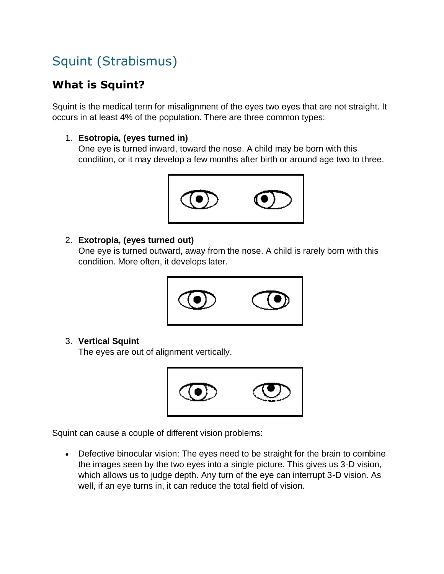# Squint (Strabismus)

## **What is Squint?**

Squint is the medical term for misalignment of the eyes two eyes that are not straight. It occurs in at least 4% of the population. There are three common types:

#### 1. **Esotropia, (eyes turned in)**

One eye is turned inward, toward the nose. A child may be born with this condition, or it may develop a few months after birth or around age two to three.



#### 2. **Exotropia, (eyes turned out)**

One eye is turned outward, away from the nose. A child is rarely born with this condition. More often, it develops later.



#### 3. **Vertical Squint**

The eyes are out of alignment vertically.



Squint can cause a couple of different vision problems:

 Defective binocular vision: The eyes need to be straight for the brain to combine the images seen by the two eyes into a single picture. This gives us 3-D vision, which allows us to judge depth. Any turn of the eye can interrupt 3-D vision. As well, if an eye turns in, it can reduce the total field of vision.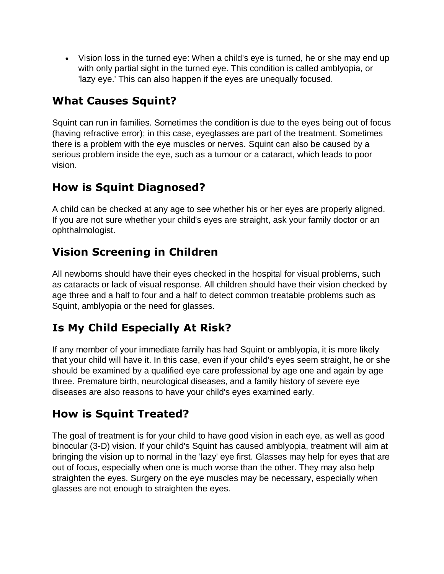Vision loss in the turned eye: When a child's eye is turned, he or she may end up with only partial sight in the turned eye. This condition is called amblyopia, or 'lazy eye.' This can also happen if the eyes are unequally focused.

### **What Causes Squint?**

Squint can run in families. Sometimes the condition is due to the eyes being out of focus (having refractive error); in this case, eyeglasses are part of the treatment. Sometimes there is a problem with the eye muscles or nerves. Squint can also be caused by a serious problem inside the eye, such as a tumour or a cataract, which leads to poor vision.

### **How is Squint Diagnosed?**

A child can be checked at any age to see whether his or her eyes are properly aligned. If you are not sure whether your child's eyes are straight, ask your family doctor or an ophthalmologist.

### **Vision Screening in Children**

All newborns should have their eyes checked in the hospital for visual problems, such as cataracts or lack of visual response. All children should have their vision checked by age three and a half to four and a half to detect common treatable problems such as Squint, amblyopia or the need for glasses.

### **Is My Child Especially At Risk?**

If any member of your immediate family has had Squint or amblyopia, it is more likely that your child will have it. In this case, even if your child's eyes seem straight, he or she should be examined by a qualified eye care professional by age one and again by age three. Premature birth, neurological diseases, and a family history of severe eye diseases are also reasons to have your child's eyes examined early.

#### **How is Squint Treated?**

The goal of treatment is for your child to have good vision in each eye, as well as good binocular (3-D) vision. If your child's Squint has caused amblyopia, treatment will aim at bringing the vision up to normal in the 'lazy' eye first. Glasses may help for eyes that are out of focus, especially when one is much worse than the other. They may also help straighten the eyes. Surgery on the eye muscles may be necessary, especially when glasses are not enough to straighten the eyes.